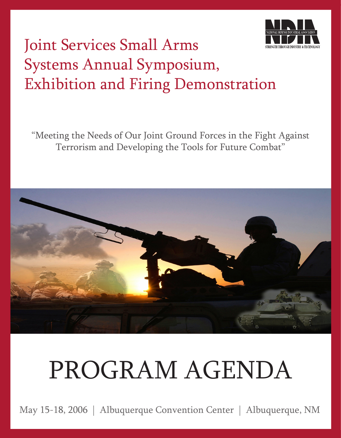

# Joint Services Small Arms Systems Annual Symposium, Exhibition and Firing Demonstration

"Meeting the Needs of Our Joint Ground Forces in the Fight Against Terrorism and Developing the Tools for Future Combat"



# PROGRAM AGENDA

May 15-18, 2006 | Albuquerque Convention Center | Albuquerque, NM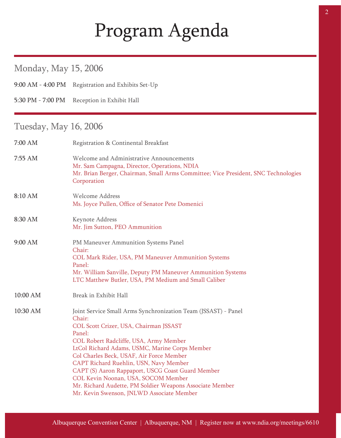# Program Agenda

### Monday, May 15, 2006

9:00 AM - 4:00 PM Registration and Exhibits Set-Up

5:30 PM - 7:00 PM Reception in Exhibit Hall

### Tuesday, May 16, 2006

Ĩ

| 7:00 AM  | Registration & Continental Breakfast                                                                                                                                                                                                                                                                                                                                                                                                                                                                                |
|----------|---------------------------------------------------------------------------------------------------------------------------------------------------------------------------------------------------------------------------------------------------------------------------------------------------------------------------------------------------------------------------------------------------------------------------------------------------------------------------------------------------------------------|
| 7:55 AM  | Welcome and Administrative Announcements<br>Mr. Sam Campagna, Director, Operations, NDIA<br>Mr. Brian Berger, Chairman, Small Arms Committee; Vice President, SNC Technologies<br>Corporation                                                                                                                                                                                                                                                                                                                       |
| 8:10 AM  | <b>Welcome Address</b><br>Ms. Joyce Pullen, Office of Senator Pete Domenici                                                                                                                                                                                                                                                                                                                                                                                                                                         |
| 8:30 AM  | Keynote Address<br>Mr. Jim Sutton, PEO Ammunition                                                                                                                                                                                                                                                                                                                                                                                                                                                                   |
| 9:00 AM  | PM Maneuver Ammunition Systems Panel<br>Chair:<br>COL Mark Rider, USA, PM Maneuver Ammunition Systems<br>Panel:<br>Mr. William Sanville, Deputy PM Maneuver Ammunition Systems<br>LTC Matthew Butler, USA, PM Medium and Small Caliber                                                                                                                                                                                                                                                                              |
| 10:00 AM | Break in Exhibit Hall                                                                                                                                                                                                                                                                                                                                                                                                                                                                                               |
| 10:30 AM | Joint Service Small Arms Synchronization Team (JSSAST) - Panel<br>Chair:<br>COL Scott Crizer, USA, Chairman JSSAST<br>Panel:<br>COL Robert Radcliffe, USA, Army Member<br>LtCol Richard Adams, USMC, Marine Corps Member<br>Col Charles Beck, USAF, Air Force Member<br>CAPT Richard Ruehlin, USN, Navy Member<br>CAPT (S) Aaron Rappaport, USCG Coast Guard Member<br>COL Kevin Noonan, USA, SOCOM Member<br>Mr. Richard Audette, PM Soldier Weapons Associate Member<br>Mr. Kevin Swenson, JNLWD Associate Member |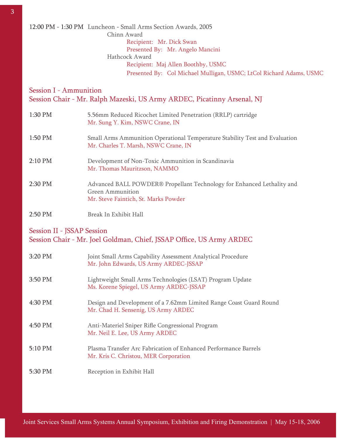12:00 PM - 1:30 PM Luncheon - Small Arms Section Awards, 2005 Chinn Award Recipient: Mr. Dick Swan Presented By: Mr. Angelo Mancini Hathcock Award Recipient: Maj Allen Boothby, USMC Presented By: Col Michael Mulligan, USMC; LtCol Richard Adams, USMC

#### Session I - Ammunition Session Chair - Mr. Ralph Mazeski, US Army ARDEC, Picatinny Arsenal, NJ

| 1:30 PM   | 5.56mm Reduced Ricochet Limited Penetration (RRLP) cartridge<br>Mr. Sung Y. Kim, NSWC Crane, IN                                    |
|-----------|------------------------------------------------------------------------------------------------------------------------------------|
| 1:50 PM   | Small Arms Ammunition Operational Temperature Stability Test and Evaluation<br>Mr. Charles T. Marsh, NSWC Crane, IN                |
| $2:10$ PM | Development of Non-Toxic Ammunition in Scandinavia<br>Mr. Thomas Mauritzson, NAMMO                                                 |
| 2:30 PM   | Advanced BALL POWDER® Propellant Technology for Enhanced Lethality and<br>Green Ammunition<br>Mr. Steve Faintich, St. Marks Powder |
| $2:50$ PM | Break In Exhibit Hall                                                                                                              |

#### Session II - JSSAP Session Session Chair - Mr. Joel Goldman, Chief, JSSAP Office, US Army ARDEC

| 3:20 PM | Joint Small Arms Capability Assessment Analytical Procedure<br>Mr. John Edwards, US Army ARDEC-JSSAP      |
|---------|-----------------------------------------------------------------------------------------------------------|
| 3:50 PM | Lightweight Small Arms Technologies (LSAT) Program Update<br>Ms. Korene Spiegel, US Army ARDEC-JSSAP      |
| 4:30 PM | Design and Development of a 7.62mm Limited Range Coast Guard Round<br>Mr. Chad H. Sensenig, US Army ARDEC |
| 4:50 PM | Anti-Materiel Sniper Rifle Congressional Program<br>Mr. Neil E. Lee, US Army ARDEC                        |
| 5:10 PM | Plasma Transfer Arc Fabrication of Enhanced Performance Barrels<br>Mr. Kris C. Christou, MER Corporation  |
| 5:30 PM | Reception in Exhibit Hall                                                                                 |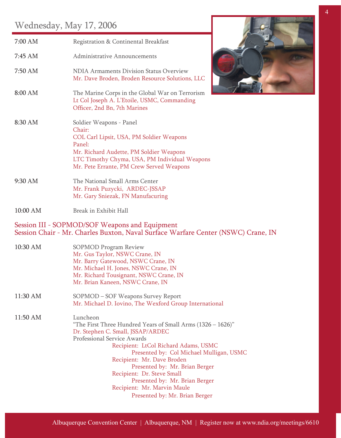### Wednesday, May 17, 2006

| $\frac{1}{2}$ |                                                                                                                                                                                                                                                                                                                                                                    |
|---------------|--------------------------------------------------------------------------------------------------------------------------------------------------------------------------------------------------------------------------------------------------------------------------------------------------------------------------------------------------------------------|
| 7:00 AM       | Registration & Continental Breakfast                                                                                                                                                                                                                                                                                                                               |
| 7:45 AM       | <b>Administrative Announcements</b>                                                                                                                                                                                                                                                                                                                                |
| 7:50 AM       | <b>NDIA Armaments Division Status Overview</b><br>Mr. Dave Broden, Broden Resource Solutions, LLC                                                                                                                                                                                                                                                                  |
| 8:00 AM       | The Marine Corps in the Global War on Terrorism<br>Lt Col Joseph A. L'Etoile, USMC, Commanding<br>Officer, 2nd Bn, 7th Marines                                                                                                                                                                                                                                     |
| 8:30 AM       | Soldier Weapons - Panel<br>Chair:<br>COL Carl Lipsit, USA, PM Soldier Weapons<br>Panel:<br>Mr. Richard Audette, PM Soldier Weapons<br>LTC Timothy Chyma, USA, PM Individual Weapons<br>Mr. Pete Errante, PM Crew Served Weapons                                                                                                                                    |
| 9:30 AM       | The National Small Arms Center<br>Mr. Frank Puzycki, ARDEC-JSSAP<br>Mr. Gary Sniezak, FN Manufacuring                                                                                                                                                                                                                                                              |
| 10:00 AM      | Break in Exhibit Hall                                                                                                                                                                                                                                                                                                                                              |
|               | Session III - SOPMOD/SOF Weapons and Equipment<br>Session Chair - Mr. Charles Buxton, Naval Surface Warfare Center (NSWC) Crane, IN                                                                                                                                                                                                                                |
| 10:30 AM      | <b>SOPMOD Program Review</b><br>Mr. Gus Taylor, NSWC Crane, IN<br>Mr. Barry Gatewood, NSWC Crane, IN<br>Mr. Michael H. Jones, NSWC Crane, IN<br>Mr. Richard Tousignant, NSWC Crane, IN<br>Mr. Brian Kaneen, NSWC Crane, IN                                                                                                                                         |
| 11:30 AM      | SOPMOD – SOF Weapons Survey Report<br>Mr. Michael D. Iovino, The Wexford Group International                                                                                                                                                                                                                                                                       |
| 11:50 AM      | Luncheon<br>"The First Three Hundred Years of Small Arms $(1326 - 1626)$ "<br>Dr. Stephen C. Small, JSSAP/ARDEC<br>Professional Service Awards<br>Recipient: LtCol Richard Adams, USMC<br>Presented by: Col Michael Mulligan, USMC<br>Recipient: Mr. Dave Broden<br>Presented by: Mr. Brian Berger<br>Recipient: Dr. Steve Small<br>Presented by: Mr. Brian Berger |
|               | Recipient: Mr. Marvin Maule                                                                                                                                                                                                                                                                                                                                        |



Presented by: Mr. Brian Berger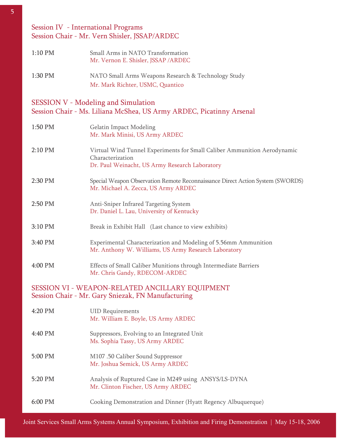#### Session IV - International Programs Session Chair - Mr. Vern Shisler, JSSAP/ARDEC

| $1:10$ PM | Small Arms in NATO Transformation<br>Mr. Vernon E. Shisler, JSSAP/ARDEC                 |
|-----------|-----------------------------------------------------------------------------------------|
| 1:30 PM   | NATO Small Arms Weapons Research & Technology Study<br>Mr. Mark Richter, USMC, Quantico |

#### SESSION V - Modeling and Simulation Session Chair - Ms. Liliana McShea, US Army ARDEC, Picatinny Arsenal

| 1:50 PM | <b>Gelatin Impact Modeling</b><br>Mr. Mark Minisi, US Army ARDEC                                                                               |
|---------|------------------------------------------------------------------------------------------------------------------------------------------------|
| 2:10 PM | Virtual Wind Tunnel Experiments for Small Caliber Ammunition Aerodynamic<br>Characterization<br>Dr. Paul Weinacht, US Army Research Laboratory |
| 2:30 PM | Special Weapon Observation Remote Reconnaissance Direct Action System (SWORDS)<br>Mr. Michael A. Zecca, US Army ARDEC                          |
| 2:50 PM | Anti-Sniper Infrared Targeting System<br>Dr. Daniel L. Lau, University of Kentucky                                                             |
| 3:10 PM | Break in Exhibit Hall (Last chance to view exhibits)                                                                                           |
| 3:40 PM | Experimental Characterization and Modeling of 5.56mm Ammunition<br>Mr. Anthony W. Williams, US Army Research Laboratory                        |
| 4:00 PM | Effects of Small Caliber Munitions through Intermediate Barriers<br>Mr. Chris Gandy, RDECOM-ARDEC                                              |
|         | SESSION VI - WEAPON-RELATED ANCILLARY EQUIPMENT<br>Session Chair - Mr. Gary Sniezak, FN Manufacturing                                          |
| 4:20 PM | <b>UID Requirements</b><br>Mr. William E. Boyle, US Army ARDEC                                                                                 |
| 4:40 PM | Suppressors, Evolving to an Integrated Unit<br>Ms. Sophia Tassy, US Army ARDEC                                                                 |
| 5:00 PM | M107.50 Caliber Sound Suppressor<br>Mr. Joshua Semick, US Army ARDEC                                                                           |
| 5:20 PM | Analysis of Ruptured Case in M249 using ANSYS/LS-DYNA<br>Mr. Clinton Fischer, US Army ARDEC                                                    |

6:00 PM Cooking Demonstration and Dinner (Hyatt Regency Albuquerque)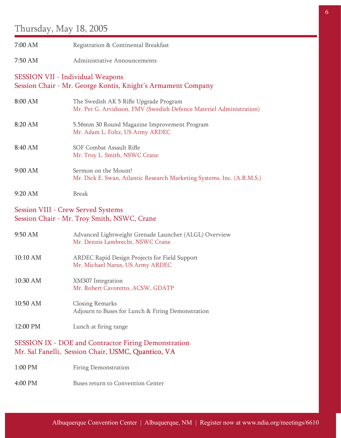### Thursday, May 18, 2005

| 7:00 AM                                   | Registration & Continental Breakfast                                                                              |
|-------------------------------------------|-------------------------------------------------------------------------------------------------------------------|
| 7:50 AM                                   | <b>Administrative Announcements</b>                                                                               |
| <b>SESSION VII - Individual Weapons</b>   | Session Chair - Mr. George Kontis, Knight's Armament Company                                                      |
| 8:00 AM                                   | The Swedish AK 5 Rifle Upgrade Program<br>Mr. Per G. Arvidsson, FMV (Swedish Defence Materiel Administration)     |
| 8:20 AM                                   | 5.56mm 30 Round Magazine Improvement Program<br>Mr. Adam L. Foltz, US Army ARDEC                                  |
| 8:40 AM                                   | SOF Combat Assault Rifle<br>Mr. Troy L. Smith, NSWC Crane                                                         |
| 9:00 AM                                   | Sermon on the Mount!<br>Mr. Dick E. Swan, Atlantic Research Marketing Systems, Inc. (A.R.M.S.)                    |
| 9:20 AM                                   | <b>Break</b>                                                                                                      |
| <b>Session VIII - Crew Served Systems</b> | Session Chair - Mr. Troy Smith, NSWC, Crane                                                                       |
| 9:50 AM                                   | Advanced Lightweight Grenade Launcher (ALGL) Overview<br>Mr. Dennis Lambrecht, NSWC Crane                         |
| 10:10 AM                                  | ARDEC Rapid Design Projects for Field Support<br>Mr. Michael Narus, US Army ARDEC                                 |
| 10:30 AM                                  | XM307 Integration<br>Mr. Robert Cavoretto, ACSW, GDATP                                                            |
| 10:50 AM                                  | <b>Closing Remarks</b><br>Adjourn to Buses for Lunch & Firing Demonstration                                       |
| 12:00 PM                                  | Lunch at firing range                                                                                             |
|                                           | <b>SESSION IX - DOE and Contractor Firing Demonstration</b><br>Mr. Sal Fanelli, Session Chair, USMC, Quantico, VA |
| 1:00 PM                                   | <b>Firing Demonstration</b>                                                                                       |
| 4:00 PM                                   | <b>Buses return to Convention Center</b>                                                                          |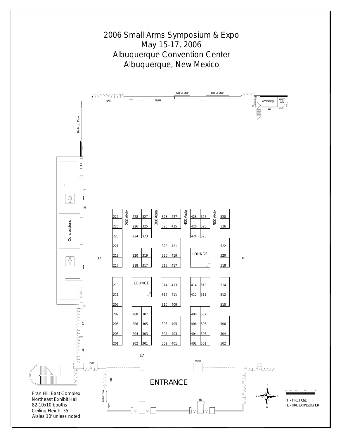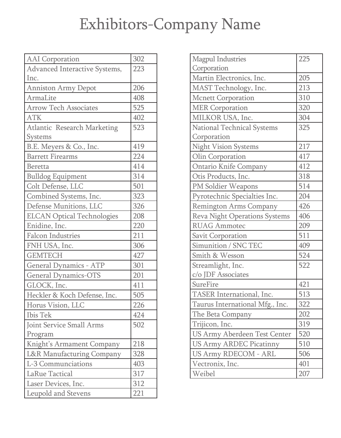# Exhibitors-Company Name

| <b>AAI</b> Corporation               | 302 |
|--------------------------------------|-----|
| Advanced Interactive Systems,        | 223 |
| Inc.                                 |     |
| Anniston Army Depot                  | 206 |
| ArmaLite                             | 408 |
| <b>Arrow Tech Associates</b>         | 525 |
| <b>ATK</b>                           | 402 |
| <b>Atlantic Research Marketing</b>   | 523 |
| <b>Systems</b>                       |     |
| B.E. Meyers & Co., Inc.              | 419 |
| <b>Barrett Firearms</b>              | 224 |
| <b>Beretta</b>                       | 414 |
| <b>Bulldog Equipment</b>             | 314 |
| Colt Defense, LLC                    | 501 |
| Combined Systems, Inc.               | 323 |
| Defense Munitions, LLC               | 326 |
| <b>ELCAN Optical Technologies</b>    | 208 |
| Enidine, Inc.                        | 220 |
| <b>Falcon Industries</b>             | 211 |
| FNH USA, Inc.                        | 306 |
| <b>GEMTECH</b>                       | 427 |
| <b>General Dynamics - ATP</b>        | 301 |
| <b>General Dynamics-OTS</b>          | 201 |
| GLOCK, Inc.                          | 411 |
| Heckler & Koch Defense, Inc.         | 505 |
| Horus Vision, LLC                    | 226 |
| <b>Ibis Tek</b>                      | 424 |
| Joint Service Small Arms             | 502 |
| Program                              |     |
| Knight's Armament Company            | 218 |
| <b>L&amp;R Manufacturing Company</b> | 328 |
| L-3 Communciations                   | 403 |
| LaRue Tactical                       | 317 |
| Laser Devices, Inc.                  | 312 |
| Leupold and Stevens                  | 221 |

| <b>Magpul Industries</b>             | 225 |
|--------------------------------------|-----|
| Corporation                          |     |
| Martin Electronics, Inc.             | 205 |
| MAST Technology, Inc.                | 213 |
| <b>Mcnett Corporation</b>            | 310 |
| <b>MER Corporation</b>               | 320 |
| MILKOR USA, Inc.                     | 304 |
| <b>National Technical Systems</b>    | 325 |
| Corporation                          |     |
| <b>Night Vision Systems</b>          | 217 |
| Olin Corporation                     | 417 |
| <b>Ontario Knife Company</b>         | 412 |
| Otis Products, Inc.                  | 318 |
| PM Soldier Weapons                   | 514 |
| Pyrotechnic Specialties Inc.         | 204 |
| Remington Arms Company               | 426 |
| <b>Reva Night Operations Systems</b> | 406 |
| <b>RUAG Ammotec</b>                  | 209 |
| <b>Savit Corporation</b>             | 511 |
| Simunition / SNC TEC                 | 409 |
| Smith & Wesson                       | 524 |
| Streamlight, Inc.                    | 522 |
| c/o JDF Associates                   |     |
| SureFire                             | 421 |
| TASER International, Inc.            | 513 |
| Taurus International Mfg., Inc.      | 322 |
| The Beta Company                     | 202 |
| Trijicon, Inc.                       | 319 |
| US Army Aberdeen Test Center         | 520 |
| <b>US Army ARDEC Picatinny</b>       | 510 |
| <b>US Army RDECOM - ARL</b>          | 506 |
| Vectronix, Inc.                      | 401 |
| Weibel                               | 207 |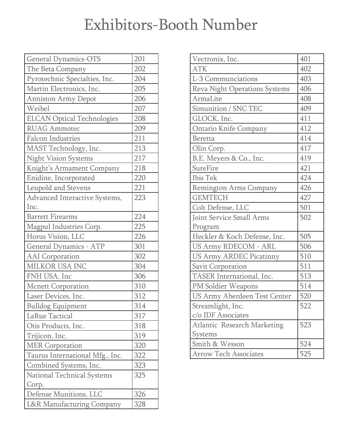## Exhibitors-Booth Number

| <b>General Dynamics-OTS</b>       | 201 |
|-----------------------------------|-----|
| The Beta Company                  | 202 |
| Pyrotechnic Specialties, Inc.     | 204 |
| Martin Electronics, Inc.          | 205 |
| <b>Anniston Army Depot</b>        | 206 |
| Weibel                            | 207 |
| <b>ELCAN Optical Technologies</b> | 208 |
| <b>RUAG Ammotec</b>               | 209 |
| <b>Falcon Industries</b>          | 211 |
| MAST Technology, Inc.             | 213 |
| <b>Night Vision Systems</b>       | 217 |
| Knight's Armament Company         | 218 |
| Enidine, Incorporated             | 220 |
| <b>Leupold and Stevens</b>        | 221 |
| Advanced Interactive Systems,     | 223 |
| Inc.                              |     |
| <b>Barrett Firearms</b>           | 224 |
| Magpul Industries Corp.           | 225 |
| Horus Vision, LLC                 | 226 |
| <b>General Dynamics - ATP</b>     | 301 |
| <b>AAI</b> Corporation            | 302 |
| MILKOR USA INC                    | 304 |
| FNH USA, Inc                      | 306 |
| <b>Mcnett Corporation</b>         | 310 |
| Laser Devices, Inc.               | 312 |
| <b>Bulldog Equipment</b>          | 314 |
| LaRue Tactical                    | 317 |
| Otis Products, Inc.               | 318 |
| Trijicon, Inc.                    | 319 |
| <b>MER Corporation</b>            | 320 |
| Taurus International Mfg., Inc.   | 322 |
| Combined Systems, Inc.            | 323 |
| <b>National Technical Systems</b> | 325 |
| Corp.                             |     |
| Defense Munitions, LLC            | 326 |
| L&R Manufacturing Company         | 328 |

| Vectronix, Inc.                      | 401 |
|--------------------------------------|-----|
| <b>ATK</b>                           | 402 |
| L-3 Communciations                   | 403 |
| <b>Reva Night Operations Systems</b> | 406 |
| ArmaLite                             | 408 |
| Simunition / SNC TEC                 | 409 |
| GLOCK, Inc.                          | 411 |
| <b>Ontario Knife Company</b>         | 412 |
| <b>Beretta</b>                       | 414 |
| Olin Corp.                           | 417 |
| B.E. Meyers & Co., Inc.              | 419 |
| <b>SureFire</b>                      | 421 |
| <b>Ibis Tek</b>                      | 424 |
| Remington Arms Company               | 426 |
| <b>GEMTECH</b>                       | 427 |
| Colt Defense, LLC                    | 501 |
| Joint Service Small Arms             | 502 |
| Program                              |     |
| Heckler & Koch Defense, Inc.         | 505 |
| <b>US Army RDECOM - ARL</b>          | 506 |
| <b>US Army ARDEC Picatinny</b>       | 510 |
| <b>Savit Corporation</b>             | 511 |
| TASER International, Inc.            | 513 |
| PM Soldier Weapons                   | 514 |
| US Army Aberdeen Test Center         | 520 |
| Streamlight, Inc.                    | 522 |
| c/o JDF Associates                   |     |
| <b>Atlantic Research Marketing</b>   | 523 |
| Systems                              |     |
| Smith & Wesson                       | 524 |
| <b>Arrow Tech Associates</b>         | 525 |